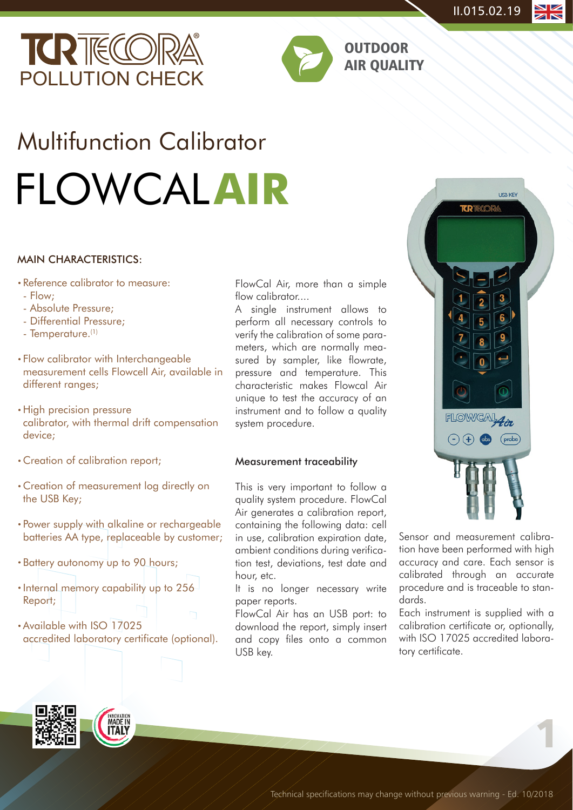



OUTDOOR AIR QUALITY

# Multifunction Calibrator FLOWCAL**AIR**

#### MAIN CHARACTERISTICS:

- Reference calibrator to measure: ·
- Flow;
- Absolute Pressure;
- Differential Pressure;
- Temperature.(1)
- Flow calibrator with Interchangeable · measurement cells Flowcell Air, available in different ranges;
- High precision pressure calibrator, with thermal drift compensation device;
- Creation of calibration report; ·
- Creation of measurement log directly on · the USB Key;
- Power supply with alkaline or rechargeable · batteries AA type, replaceable by customer;
- Battery autonomy up to 90 hours;
- Internal memory capability up to 256 Report;
- Available with ISO 17025 accredited laboratory certificate (optional).

FlowCal Air, more than a simple flow calibrator....

A single instrument allows to perform all necessary controls to verify the calibration of some parameters, which are normally measured by sampler, like flowrate, pressure and temperature. This characteristic makes Flowcal Air unique to test the accuracy of an instrument and to follow a quality system procedure.

#### Measurement traceability

This is very important to follow a quality system procedure. FlowCal Air generates a calibration report, containing the following data: cell in use, calibration expiration date, ambient conditions during verification test, deviations, test date and hour, etc.

It is no longer necessary write paper reports.

FlowCal Air has an USB port: to download the report, simply insert and copy files onto a common USB key.



Sensor and measurement calibration have been performed with high accuracy and care. Each sensor is calibrated through an accurate procedure and is traceable to standards.

Each instrument is supplied with a calibration certificate or, optionally, with ISO 17025 accredited laboratory certificate.

1

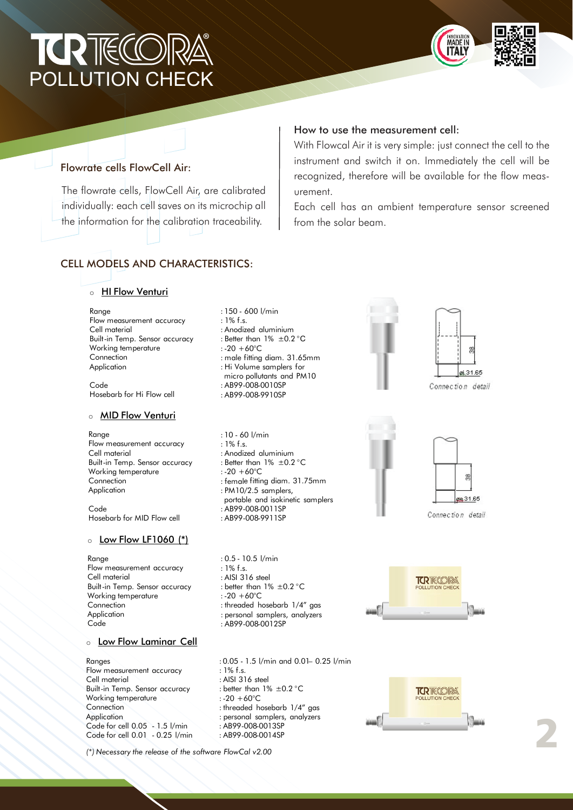# ® **TORTHELLO** POLLUTION CHECK



### Flowrate cells FlowCell Air:

The flowrate cells, FlowCell Air, are calibrated individually: each cell saves on its microchip all the information for the calibration traceability.

## CELL MODELS AND CHARACTERISTICS:

## ○ <u>HI Flow Venturi</u>

Range Cell material Built-in Temp. Sensor accuracy Connection Application Flow measurement accuracy Working temperature

Code Hosebarb for Hi Flow cell

#### ○ <u>MID Flow Venturi</u>

Range Cell material Built-in Temp. Sensor accuracy **Connection** Application Flow measurement accuracy Working temperature

Code Hosebarb for MID Flow cell

#### o Low Flow LF1060 (\*)

Range Cell material Built-in Temp. Sensor accuracy Connection Application **Code** Flow measurement accuracy Working temperature

#### ் <u>Low Flow Laminar Cell</u>

Ranges Cell material Built-in Temp. Sensor accuracy **Connection Application** Flow measurement accuracy Working temperature Code for cell 0.05 - 1.5 l/min Code for cell 0.01 - 0.25 l/min : 150 - 600 l/min : 1% f.s. : Anodized aluminium : Better than 1% ±0.2 °C :-20 +60°C : male fitting diam. 31.65mm : Hi Volume samplers for micro pollutants and PM10 : AB99-008-0010SP : AB99-008-9910SP

- : 10 60 l/min  $\cdot$  1% f s. : Anodized aluminium : Better than 1% ±0.2 °C :-20 +60°C
- : female fitting diam. 31.75mm
- : PM10/2.5 samplers,
- portable and isokinetic samplers
- : AB99-008-0011SP : AB99-008-9911SP
- : 0.5 10.5 l/min : 1% f.s. : AISI 316 steel : better than 1% ±0.2 °C :-20 +60°C : threaded hosebarb 1/4" gas : personal samplers, analyzers : AB99-008-0012SP

: 0.05 - 1.5 l/min and 0.01– 0.25 l/min : 1% f.s. : AISI 316 steel : better than 1% ±0.2 °C  $: -20 + 60^{\circ}C$ : threaded hosebarb 1/4" gas : personal samplers, analyzers : AB99-008-0013SP : AB99-008-0014SP

*(\*) Necessary the release of the software FlowCal v2.00*

#### How to use the measurement cell:

With Flowcal Air it is very simple: just connect the cell to the instrument and switch it on. Immediately the cell will be recognized, therefore will be available for the flow measurement.

Each cell has an ambient temperature sensor screened from the solar beam.





Connection detail



Connection detail

 $\frac{8}{2}$ 

de 31.65





2